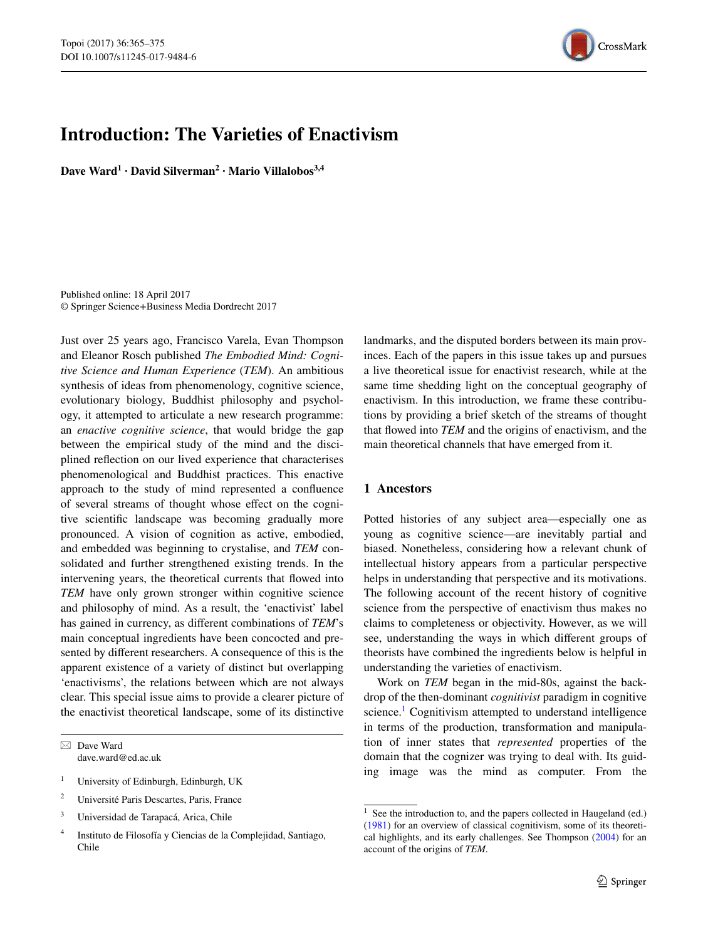

# **Introduction: The Varieties of Enactivism**

**Dave Ward1 · David Silverman<sup>2</sup> · Mario Villalobos3,4**

Published online: 18 April 2017 © Springer Science+Business Media Dordrecht 2017

Just over 25 years ago, Francisco Varela, Evan Thompson and Eleanor Rosch published *The Embodied Mind: Cognitive Science and Human Experience* (*TEM*). An ambitious synthesis of ideas from phenomenology, cognitive science, evolutionary biology, Buddhist philosophy and psychology, it attempted to articulate a new research programme: an *enactive cognitive science*, that would bridge the gap between the empirical study of the mind and the disciplined reflection on our lived experience that characterises phenomenological and Buddhist practices. This enactive approach to the study of mind represented a confluence of several streams of thought whose effect on the cognitive scientific landscape was becoming gradually more pronounced. A vision of cognition as active, embodied, and embedded was beginning to crystalise, and *TEM* consolidated and further strengthened existing trends. In the intervening years, the theoretical currents that flowed into *TEM* have only grown stronger within cognitive science and philosophy of mind. As a result, the 'enactivist' label has gained in currency, as different combinations of *TEM*'s main conceptual ingredients have been concocted and presented by different researchers. A consequence of this is the apparent existence of a variety of distinct but overlapping 'enactivisms', the relations between which are not always clear. This special issue aims to provide a clearer picture of the enactivist theoretical landscape, some of its distinctive

 $\boxtimes$  Dave Ward dave.ward@ed.ac.uk

- <sup>1</sup> University of Edinburgh, Edinburgh, UK
- <sup>2</sup> Université Paris Descartes, Paris, France
- <sup>3</sup> Universidad de Tarapacá, Arica, Chile
- <sup>4</sup> Instituto de Filosofía y Ciencias de la Complejidad, Santiago, Chile

landmarks, and the disputed borders between its main provinces. Each of the papers in this issue takes up and pursues a live theoretical issue for enactivist research, while at the same time shedding light on the conceptual geography of enactivism. In this introduction, we frame these contributions by providing a brief sketch of the streams of thought that flowed into *TEM* and the origins of enactivism, and the main theoretical channels that have emerged from it.

#### <span id="page-0-1"></span>**1 Ancestors**

Potted histories of any subject area—especially one as young as cognitive science—are inevitably partial and biased. Nonetheless, considering how a relevant chunk of intellectual history appears from a particular perspective helps in understanding that perspective and its motivations. The following account of the recent history of cognitive science from the perspective of enactivism thus makes no claims to completeness or objectivity. However, as we will see, understanding the ways in which different groups of theorists have combined the ingredients below is helpful in understanding the varieties of enactivism.

Work on *TEM* began in the mid-80s, against the backdrop of the then-dominant *cognitivist* paradigm in cognitive science.<sup>1</sup> Cognitivism attempted to understand intelligence in terms of the production, transformation and manipulation of inner states that *represented* properties of the domain that the cognizer was trying to deal with. Its guiding image was the mind as computer. From the

<span id="page-0-0"></span> $1$  See the introduction to, and the papers collected in Haugeland (ed.) ([1981\)](#page-10-0) for an overview of classical cognitivism, some of its theoretical highlights, and its early challenges. See Thompson [\(2004](#page-10-1)) for an account of the origins of *TEM*.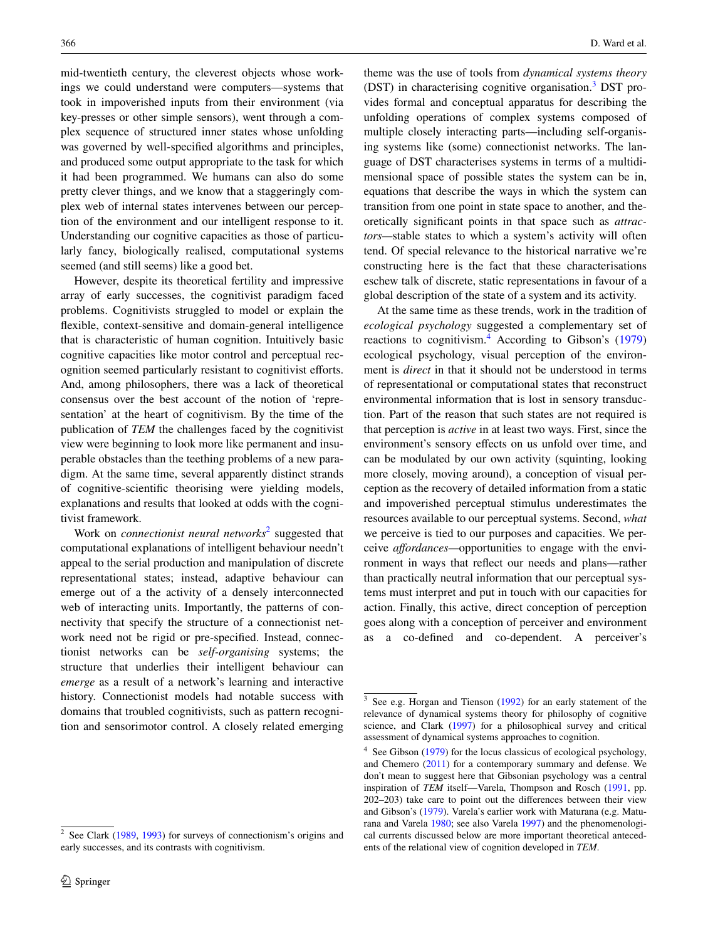mid-twentieth century, the cleverest objects whose workings we could understand were computers—systems that took in impoverished inputs from their environment (via key-presses or other simple sensors), went through a complex sequence of structured inner states whose unfolding was governed by well-specified algorithms and principles, and produced some output appropriate to the task for which it had been programmed. We humans can also do some pretty clever things, and we know that a staggeringly complex web of internal states intervenes between our perception of the environment and our intelligent response to it. Understanding our cognitive capacities as those of particularly fancy, biologically realised, computational systems seemed (and still seems) like a good bet.

However, despite its theoretical fertility and impressive array of early successes, the cognitivist paradigm faced problems. Cognitivists struggled to model or explain the flexible, context-sensitive and domain-general intelligence that is characteristic of human cognition. Intuitively basic cognitive capacities like motor control and perceptual recognition seemed particularly resistant to cognitivist efforts. And, among philosophers, there was a lack of theoretical consensus over the best account of the notion of 'representation' at the heart of cognitivism. By the time of the publication of *TEM* the challenges faced by the cognitivist view were beginning to look more like permanent and insuperable obstacles than the teething problems of a new paradigm. At the same time, several apparently distinct strands of cognitive-scientific theorising were yielding models, explanations and results that looked at odds with the cognitivist framework.

Work on *connectionist neural networks*<sup>[2](#page-1-0)</sup> suggested that computational explanations of intelligent behaviour needn't appeal to the serial production and manipulation of discrete representational states; instead, adaptive behaviour can emerge out of a the activity of a densely interconnected web of interacting units. Importantly, the patterns of connectivity that specify the structure of a connectionist network need not be rigid or pre-specified. Instead, connectionist networks can be *self-organising* systems; the structure that underlies their intelligent behaviour can *emerge* as a result of a network's learning and interactive history. Connectionist models had notable success with domains that troubled cognitivists, such as pattern recognition and sensorimotor control. A closely related emerging

theme was the use of tools from *dynamical systems theory* (DST) in characterising cognitive organisation.<sup>3</sup> DST provides formal and conceptual apparatus for describing the unfolding operations of complex systems composed of multiple closely interacting parts—including self-organising systems like (some) connectionist networks. The language of DST characterises systems in terms of a multidimensional space of possible states the system can be in, equations that describe the ways in which the system can transition from one point in state space to another, and theoretically significant points in that space such as *attractors—*stable states to which a system's activity will often tend. Of special relevance to the historical narrative we're constructing here is the fact that these characterisations eschew talk of discrete, static representations in favour of a global description of the state of a system and its activity.

At the same time as these trends, work in the tradition of *ecological psychology* suggested a complementary set of reactions to cognitivism.<sup>[4](#page-1-2)</sup> According to Gibson's ([1979\)](#page-10-2) ecological psychology, visual perception of the environment is *direct* in that it should not be understood in terms of representational or computational states that reconstruct environmental information that is lost in sensory transduction. Part of the reason that such states are not required is that perception is *active* in at least two ways. First, since the environment's sensory effects on us unfold over time, and can be modulated by our own activity (squinting, looking more closely, moving around), a conception of visual perception as the recovery of detailed information from a static and impoverished perceptual stimulus underestimates the resources available to our perceptual systems. Second, *what* we perceive is tied to our purposes and capacities. We perceive *affordances—*opportunities to engage with the environment in ways that reflect our needs and plans—rather than practically neutral information that our perceptual systems must interpret and put in touch with our capacities for action. Finally, this active, direct conception of perception goes along with a conception of perceiver and environment as a co-defined and co-dependent. A perceiver's

<span id="page-1-0"></span> $2^{\circ}$  See Clark ([1989,](#page-9-0) [1993](#page-9-1)) for surveys of connectionism's origins and early successes, and its contrasts with cognitivism.

<span id="page-1-1"></span><sup>3</sup> See e.g. Horgan and Tienson [\(1992](#page-10-3)) for an early statement of the relevance of dynamical systems theory for philosophy of cognitive science, and Clark [\(1997](#page-9-2)) for a philosophical survey and critical assessment of dynamical systems approaches to cognition.

<span id="page-1-2"></span> $4$  See Gibson ([1979\)](#page-10-2) for the locus classicus of ecological psychology, and Chemero ([2011\)](#page-9-3) for a contemporary summary and defense. We don't mean to suggest here that Gibsonian psychology was a central inspiration of *TEM* itself—Varela, Thompson and Rosch [\(1991](#page-10-4), pp. 202–203) take care to point out the differences between their view and Gibson's ([1979\)](#page-10-2). Varela's earlier work with Maturana (e.g. Maturana and Varela [1980;](#page-10-5) see also Varela [1997](#page-10-6)) and the phenomenological currents discussed below are more important theoretical antecedents of the relational view of cognition developed in *TEM*.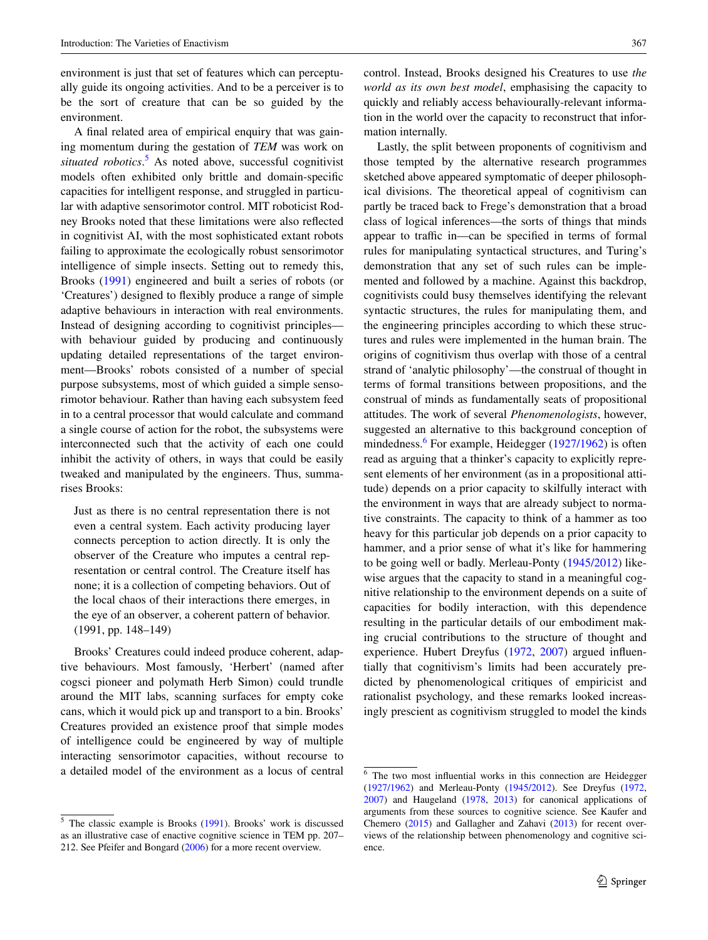environment is just that set of features which can perceptually guide its ongoing activities. And to be a perceiver is to be the sort of creature that can be so guided by the environment.

A final related area of empirical enquiry that was gaining momentum during the gestation of *TEM* was work on situated robotics.<sup>[5](#page-2-0)</sup> As noted above, successful cognitivist models often exhibited only brittle and domain-specific capacities for intelligent response, and struggled in particular with adaptive sensorimotor control. MIT roboticist Rodney Brooks noted that these limitations were also reflected in cognitivist AI, with the most sophisticated extant robots failing to approximate the ecologically robust sensorimotor intelligence of simple insects. Setting out to remedy this, Brooks ([1991\)](#page-9-4) engineered and built a series of robots (or 'Creatures') designed to flexibly produce a range of simple adaptive behaviours in interaction with real environments. Instead of designing according to cognitivist principles with behaviour guided by producing and continuously updating detailed representations of the target environment—Brooks' robots consisted of a number of special purpose subsystems, most of which guided a simple sensorimotor behaviour. Rather than having each subsystem feed in to a central processor that would calculate and command a single course of action for the robot, the subsystems were interconnected such that the activity of each one could inhibit the activity of others, in ways that could be easily tweaked and manipulated by the engineers. Thus, summarises Brooks:

Just as there is no central representation there is not even a central system. Each activity producing layer connects perception to action directly. It is only the observer of the Creature who imputes a central representation or central control. The Creature itself has none; it is a collection of competing behaviors. Out of the local chaos of their interactions there emerges, in the eye of an observer, a coherent pattern of behavior. (1991, pp. 148–149)

Brooks' Creatures could indeed produce coherent, adaptive behaviours. Most famously, 'Herbert' (named after cogsci pioneer and polymath Herb Simon) could trundle around the MIT labs, scanning surfaces for empty coke cans, which it would pick up and transport to a bin. Brooks' Creatures provided an existence proof that simple modes of intelligence could be engineered by way of multiple interacting sensorimotor capacities, without recourse to a detailed model of the environment as a locus of central control. Instead, Brooks designed his Creatures to use *the world as its own best model*, emphasising the capacity to quickly and reliably access behaviourally-relevant information in the world over the capacity to reconstruct that information internally.

Lastly, the split between proponents of cognitivism and those tempted by the alternative research programmes sketched above appeared symptomatic of deeper philosophical divisions. The theoretical appeal of cognitivism can partly be traced back to Frege's demonstration that a broad class of logical inferences—the sorts of things that minds appear to traffic in—can be specified in terms of formal rules for manipulating syntactical structures, and Turing's demonstration that any set of such rules can be implemented and followed by a machine. Against this backdrop, cognitivists could busy themselves identifying the relevant syntactic structures, the rules for manipulating them, and the engineering principles according to which these structures and rules were implemented in the human brain. The origins of cognitivism thus overlap with those of a central strand of 'analytic philosophy'—the construal of thought in terms of formal transitions between propositions, and the construal of minds as fundamentally seats of propositional attitudes. The work of several *Phenomenologists*, however, suggested an alternative to this background conception of mindedness.<sup>[6](#page-2-1)</sup> For example, Heidegger [\(1927/1962](#page-10-8)) is often read as arguing that a thinker's capacity to explicitly represent elements of her environment (as in a propositional attitude) depends on a prior capacity to skilfully interact with the environment in ways that are already subject to normative constraints. The capacity to think of a hammer as too heavy for this particular job depends on a prior capacity to hammer, and a prior sense of what it's like for hammering to be going well or badly. Merleau-Ponty [\(1945/2012](#page-10-9)) likewise argues that the capacity to stand in a meaningful cognitive relationship to the environment depends on a suite of capacities for bodily interaction, with this dependence resulting in the particular details of our embodiment making crucial contributions to the structure of thought and experience. Hubert Dreyfus ([1972,](#page-9-5) [2007](#page-10-10)) argued influentially that cognitivism's limits had been accurately predicted by phenomenological critiques of empiricist and rationalist psychology, and these remarks looked increasingly prescient as cognitivism struggled to model the kinds

<span id="page-2-0"></span><sup>5</sup> The classic example is Brooks ([1991\)](#page-9-4). Brooks' work is discussed as an illustrative case of enactive cognitive science in TEM pp. 207– 212. See Pfeifer and Bongard ([2006\)](#page-10-7) for a more recent overview.

<span id="page-2-1"></span><sup>6</sup> The two most influential works in this connection are Heidegger ([1927/1962](#page-10-8)) and Merleau-Ponty ([1945/2012](#page-10-9)). See Dreyfus [\(1972](#page-9-5), [2007](#page-10-10)) and Haugeland ([1978,](#page-10-11) [2013](#page-10-12)) for canonical applications of arguments from these sources to cognitive science. See Kaufer and Chemero ([2015\)](#page-10-13) and Gallagher and Zahavi ([2013\)](#page-10-14) for recent overviews of the relationship between phenomenology and cognitive science.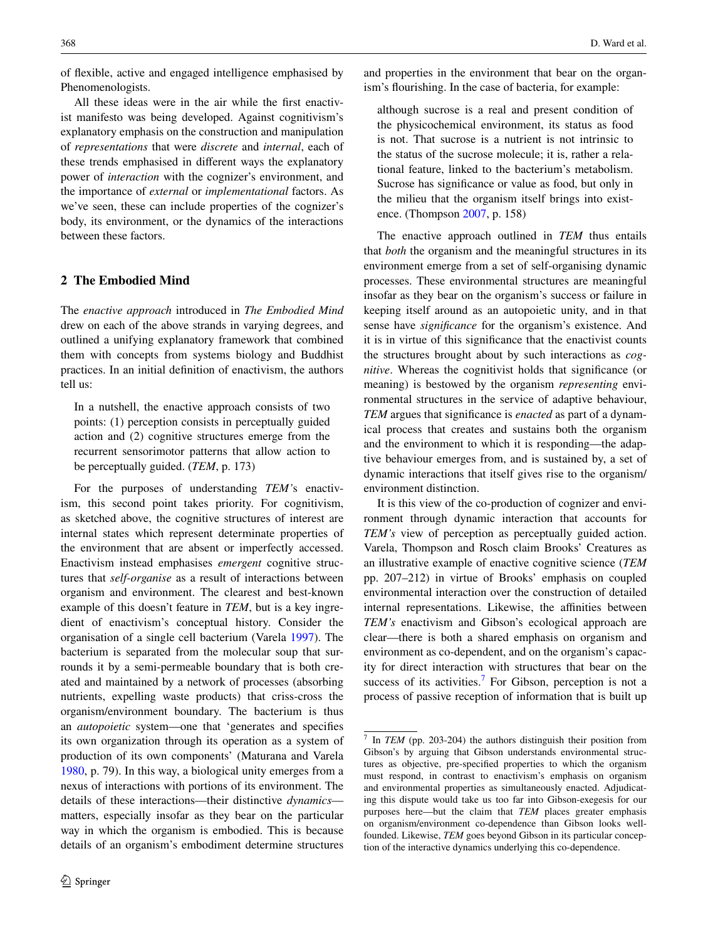of flexible, active and engaged intelligence emphasised by Phenomenologists.

All these ideas were in the air while the first enactivist manifesto was being developed. Against cognitivism's explanatory emphasis on the construction and manipulation of *representations* that were *discrete* and *internal*, each of these trends emphasised in different ways the explanatory power of *interaction* with the cognizer's environment, and the importance of *external* or *implementational* factors. As we've seen, these can include properties of the cognizer's body, its environment, or the dynamics of the interactions between these factors.

## **2 The Embodied Mind**

The *enactive approach* introduced in *The Embodied Mind* drew on each of the above strands in varying degrees, and outlined a unifying explanatory framework that combined them with concepts from systems biology and Buddhist practices. In an initial definition of enactivism, the authors tell us:

In a nutshell, the enactive approach consists of two points: (1) perception consists in perceptually guided action and (2) cognitive structures emerge from the recurrent sensorimotor patterns that allow action to be perceptually guided. (*TEM*, p. 173)

For the purposes of understanding *TEM'*s enactivism, this second point takes priority. For cognitivism, as sketched above, the cognitive structures of interest are internal states which represent determinate properties of the environment that are absent or imperfectly accessed. Enactivism instead emphasises *emergent* cognitive structures that *self-organise* as a result of interactions between organism and environment. The clearest and best-known example of this doesn't feature in *TEM*, but is a key ingredient of enactivism's conceptual history. Consider the organisation of a single cell bacterium (Varela [1997](#page-10-6)). The bacterium is separated from the molecular soup that surrounds it by a semi-permeable boundary that is both created and maintained by a network of processes (absorbing nutrients, expelling waste products) that criss-cross the organism/environment boundary. The bacterium is thus an *autopoietic* system—one that 'generates and specifies its own organization through its operation as a system of production of its own components' (Maturana and Varela [1980](#page-10-5), p. 79). In this way, a biological unity emerges from a nexus of interactions with portions of its environment. The details of these interactions—their distinctive *dynamics* matters, especially insofar as they bear on the particular way in which the organism is embodied. This is because details of an organism's embodiment determine structures

and properties in the environment that bear on the organism's flourishing. In the case of bacteria, for example:

although sucrose is a real and present condition of the physicochemical environment, its status as food is not. That sucrose is a nutrient is not intrinsic to the status of the sucrose molecule; it is, rather a relational feature, linked to the bacterium's metabolism. Sucrose has significance or value as food, but only in the milieu that the organism itself brings into existence. (Thompson [2007](#page-10-15), p. 158)

The enactive approach outlined in *TEM* thus entails that *both* the organism and the meaningful structures in its environment emerge from a set of self-organising dynamic processes. These environmental structures are meaningful insofar as they bear on the organism's success or failure in keeping itself around as an autopoietic unity, and in that sense have *significance* for the organism's existence. And it is in virtue of this significance that the enactivist counts the structures brought about by such interactions as *cognitive*. Whereas the cognitivist holds that significance (or meaning) is bestowed by the organism *representing* environmental structures in the service of adaptive behaviour, *TEM* argues that significance is *enacted* as part of a dynamical process that creates and sustains both the organism and the environment to which it is responding—the adaptive behaviour emerges from, and is sustained by, a set of dynamic interactions that itself gives rise to the organism/ environment distinction.

It is this view of the co-production of cognizer and environment through dynamic interaction that accounts for *TEM's* view of perception as perceptually guided action. Varela, Thompson and Rosch claim Brooks' Creatures as an illustrative example of enactive cognitive science (*TEM* pp. 207–212) in virtue of Brooks' emphasis on coupled environmental interaction over the construction of detailed internal representations. Likewise, the affinities between *TEM's* enactivism and Gibson's ecological approach are clear—there is both a shared emphasis on organism and environment as co-dependent, and on the organism's capacity for direct interaction with structures that bear on the success of its activities.<sup>[7](#page-3-0)</sup> For Gibson, perception is not a process of passive reception of information that is built up

<span id="page-3-0"></span><sup>7</sup> In *TEM* (pp. 203-204) the authors distinguish their position from Gibson's by arguing that Gibson understands environmental structures as objective, pre-specified properties to which the organism must respond, in contrast to enactivism's emphasis on organism and environmental properties as simultaneously enacted. Adjudicating this dispute would take us too far into Gibson-exegesis for our purposes here—but the claim that *TEM* places greater emphasis on organism/environment co-dependence than Gibson looks wellfounded. Likewise, *TEM* goes beyond Gibson in its particular conception of the interactive dynamics underlying this co-dependence.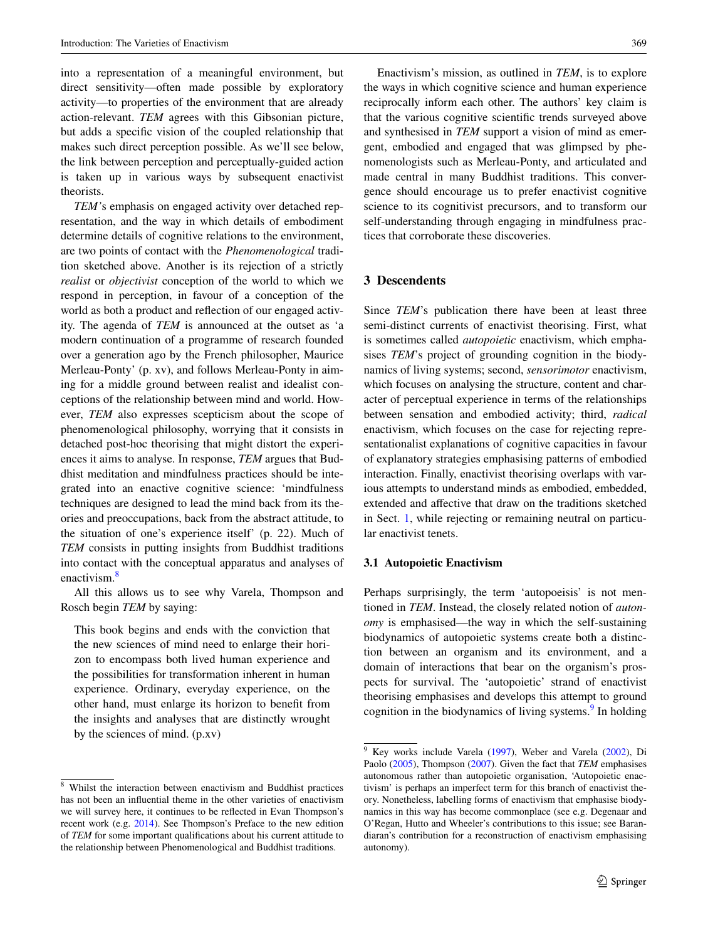into a representation of a meaningful environment, but direct sensitivity—often made possible by exploratory activity—to properties of the environment that are already action-relevant. *TEM* agrees with this Gibsonian picture, but adds a specific vision of the coupled relationship that makes such direct perception possible. As we'll see below, the link between perception and perceptually-guided action is taken up in various ways by subsequent enactivist theorists.

*TEM'*s emphasis on engaged activity over detached representation, and the way in which details of embodiment determine details of cognitive relations to the environment, are two points of contact with the *Phenomenological* tradition sketched above. Another is its rejection of a strictly *realist* or *objectivist* conception of the world to which we respond in perception, in favour of a conception of the world as both a product and reflection of our engaged activity. The agenda of *TEM* is announced at the outset as 'a modern continuation of a programme of research founded over a generation ago by the French philosopher, Maurice Merleau-Ponty' (p. xv), and follows Merleau-Ponty in aiming for a middle ground between realist and idealist conceptions of the relationship between mind and world. However, *TEM* also expresses scepticism about the scope of phenomenological philosophy, worrying that it consists in detached post-hoc theorising that might distort the experiences it aims to analyse. In response, *TEM* argues that Buddhist meditation and mindfulness practices should be integrated into an enactive cognitive science: 'mindfulness techniques are designed to lead the mind back from its theories and preoccupations, back from the abstract attitude, to the situation of one's experience itself' (p. 22). Much of *TEM* consists in putting insights from Buddhist traditions into contact with the conceptual apparatus and analyses of enactivism.<sup>[8](#page-4-0)</sup>

All this allows us to see why Varela, Thompson and Rosch begin *TEM* by saying:

This book begins and ends with the conviction that the new sciences of mind need to enlarge their horizon to encompass both lived human experience and the possibilities for transformation inherent in human experience. Ordinary, everyday experience, on the other hand, must enlarge its horizon to benefit from the insights and analyses that are distinctly wrought by the sciences of mind. (p.xv)

Enactivism's mission, as outlined in *TEM*, is to explore the ways in which cognitive science and human experience reciprocally inform each other. The authors' key claim is that the various cognitive scientific trends surveyed above and synthesised in *TEM* support a vision of mind as emergent, embodied and engaged that was glimpsed by phenomenologists such as Merleau-Ponty, and articulated and made central in many Buddhist traditions. This convergence should encourage us to prefer enactivist cognitive science to its cognitivist precursors, and to transform our self-understanding through engaging in mindfulness practices that corroborate these discoveries.

## **3 Descendents**

Since *TEM*'s publication there have been at least three semi-distinct currents of enactivist theorising. First, what is sometimes called *autopoietic* enactivism, which emphasises *TEM*'s project of grounding cognition in the biodynamics of living systems; second, *sensorimotor* enactivism, which focuses on analysing the structure, content and character of perceptual experience in terms of the relationships between sensation and embodied activity; third, *radical* enactivism, which focuses on the case for rejecting representationalist explanations of cognitive capacities in favour of explanatory strategies emphasising patterns of embodied interaction. Finally, enactivist theorising overlaps with various attempts to understand minds as embodied, embedded, extended and affective that draw on the traditions sketched in Sect. [1,](#page-0-1) while rejecting or remaining neutral on particular enactivist tenets.

### **3.1 Autopoietic Enactivism**

Perhaps surprisingly, the term 'autopoeisis' is not mentioned in *TEM*. Instead, the closely related notion of *autonomy* is emphasised—the way in which the self-sustaining biodynamics of autopoietic systems create both a distinction between an organism and its environment, and a domain of interactions that bear on the organism's prospects for survival. The 'autopoietic' strand of enactivist theorising emphasises and develops this attempt to ground cognition in the biodynamics of living systems.<sup>[9](#page-4-1)</sup> In holding

<span id="page-4-0"></span><sup>8</sup> Whilst the interaction between enactivism and Buddhist practices has not been an influential theme in the other varieties of enactivism we will survey here, it continues to be reflected in Evan Thompson's recent work (e.g. [2014\)](#page-10-16). See Thompson's Preface to the new edition of *TEM* for some important qualifications about his current attitude to the relationship between Phenomenological and Buddhist traditions.

<span id="page-4-1"></span> $9$  Key works include Varela [\(1997](#page-10-6)), Weber and Varela ([2002\)](#page-10-17), Di Paolo ([2005\)](#page-9-6), Thompson [\(2007](#page-10-15)). Given the fact that *TEM* emphasises autonomous rather than autopoietic organisation, 'Autopoietic enactivism' is perhaps an imperfect term for this branch of enactivist theory. Nonetheless, labelling forms of enactivism that emphasise biodynamics in this way has become commonplace (see e.g. Degenaar and O'Regan, Hutto and Wheeler's contributions to this issue; see Barandiaran's contribution for a reconstruction of enactivism emphasising autonomy).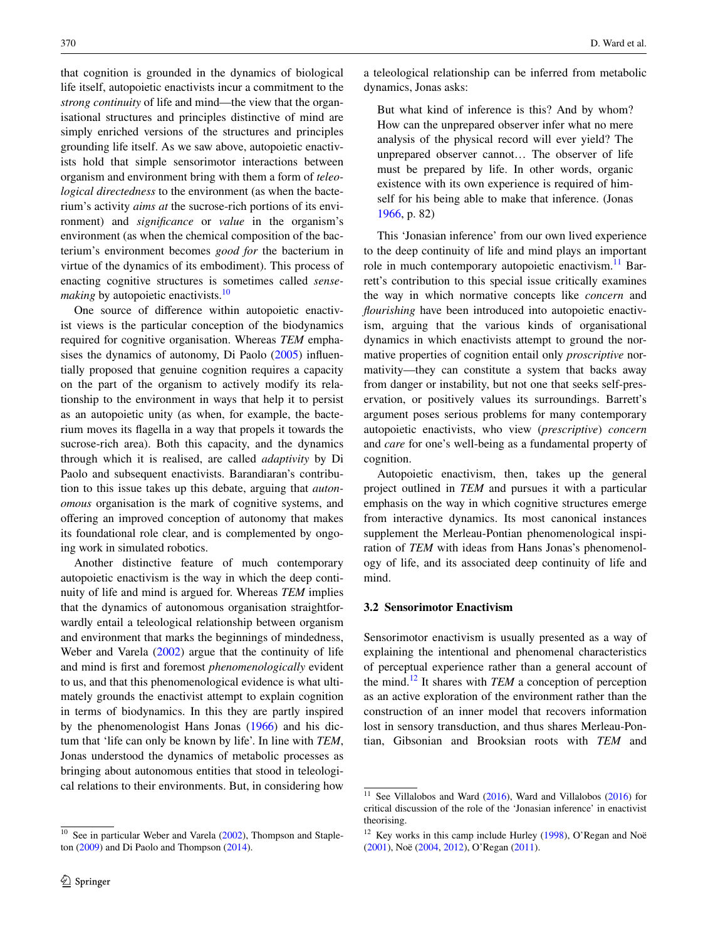that cognition is grounded in the dynamics of biological life itself, autopoietic enactivists incur a commitment to the *strong continuity* of life and mind—the view that the organisational structures and principles distinctive of mind are simply enriched versions of the structures and principles grounding life itself. As we saw above, autopoietic enactivists hold that simple sensorimotor interactions between organism and environment bring with them a form of *teleological directedness* to the environment (as when the bacterium's activity *aims at* the sucrose-rich portions of its environment) and *significance* or *value* in the organism's environment (as when the chemical composition of the bacterium's environment becomes *good for* the bacterium in virtue of the dynamics of its embodiment). This process of enacting cognitive structures is sometimes called *sensemaking* by autopoietic enactivists.<sup>[10](#page-5-0)</sup>

One source of difference within autopoietic enactivist views is the particular conception of the biodynamics required for cognitive organisation. Whereas *TEM* empha-sises the dynamics of autonomy, Di Paolo [\(2005](#page-10-15)) influentially proposed that genuine cognition requires a capacity on the part of the organism to actively modify its relationship to the environment in ways that help it to persist as an autopoietic unity (as when, for example, the bacterium moves its flagella in a way that propels it towards the sucrose-rich area). Both this capacity, and the dynamics through which it is realised, are called *adaptivity* by Di Paolo and subsequent enactivists. Barandiaran's contribution to this issue takes up this debate, arguing that *autonomous* organisation is the mark of cognitive systems, and offering an improved conception of autonomy that makes its foundational role clear, and is complemented by ongoing work in simulated robotics.

Another distinctive feature of much contemporary autopoietic enactivism is the way in which the deep continuity of life and mind is argued for. Whereas *TEM* implies that the dynamics of autonomous organisation straightforwardly entail a teleological relationship between organism and environment that marks the beginnings of mindedness, Weber and Varela ([2002\)](#page-10-17) argue that the continuity of life and mind is first and foremost *phenomenologically* evident to us, and that this phenomenological evidence is what ultimately grounds the enactivist attempt to explain cognition in terms of biodynamics. In this they are partly inspired by the phenomenologist Hans Jonas ([1966\)](#page-10-18) and his dictum that 'life can only be known by life'. In line with *TEM*, Jonas understood the dynamics of metabolic processes as bringing about autonomous entities that stood in teleological relations to their environments. But, in considering how

a teleological relationship can be inferred from metabolic dynamics, Jonas asks:

But what kind of inference is this? And by whom? How can the unprepared observer infer what no mere analysis of the physical record will ever yield? The unprepared observer cannot… The observer of life must be prepared by life. In other words, organic existence with its own experience is required of himself for his being able to make that inference. (Jonas [1966](#page-10-18), p. 82)

This 'Jonasian inference' from our own lived experience to the deep continuity of life and mind plays an important role in much contemporary autopoietic enactivism.<sup>[11](#page-5-1)</sup> Barrett's contribution to this special issue critically examines the way in which normative concepts like *concern* and *flourishing* have been introduced into autopoietic enactivism, arguing that the various kinds of organisational dynamics in which enactivists attempt to ground the normative properties of cognition entail only *proscriptive* normativity—they can constitute a system that backs away from danger or instability, but not one that seeks self-preservation, or positively values its surroundings. Barrett's argument poses serious problems for many contemporary autopoietic enactivists, who view (*prescriptive*) *concern* and *care* for one's well-being as a fundamental property of cognition.

Autopoietic enactivism, then, takes up the general project outlined in *TEM* and pursues it with a particular emphasis on the way in which cognitive structures emerge from interactive dynamics. Its most canonical instances supplement the Merleau-Pontian phenomenological inspiration of *TEM* with ideas from Hans Jonas's phenomenology of life, and its associated deep continuity of life and mind.

#### **3.2 Sensorimotor Enactivism**

Sensorimotor enactivism is usually presented as a way of explaining the intentional and phenomenal characteristics of perceptual experience rather than a general account of the mind.[12](#page-5-2) It shares with *TEM* a conception of perception as an active exploration of the environment rather than the construction of an inner model that recovers information lost in sensory transduction, and thus shares Merleau-Pontian, Gibsonian and Brooksian roots with *TEM* and

<span id="page-5-0"></span><sup>&</sup>lt;sup>10</sup> See in particular Weber and Varela [\(2002](#page-10-17)), Thompson and Stapleton ([2009\)](#page-10-19) and Di Paolo and Thompson ([2014\)](#page-9-7).

<span id="page-5-1"></span><sup>&</sup>lt;sup>11</sup> See Villalobos and Ward  $(2016)$  $(2016)$ , Ward and Villalobos  $(2016)$  $(2016)$  for critical discussion of the role of the 'Jonasian inference' in enactivist theorising.

<span id="page-5-2"></span> $12$  Key works in this camp include Hurley ([1998\)](#page-10-22), O'Regan and Noë ([2001\)](#page-10-23), Noë [\(2004](#page-10-24), [2012](#page-10-25)), O'Regan ([2011\)](#page-10-26).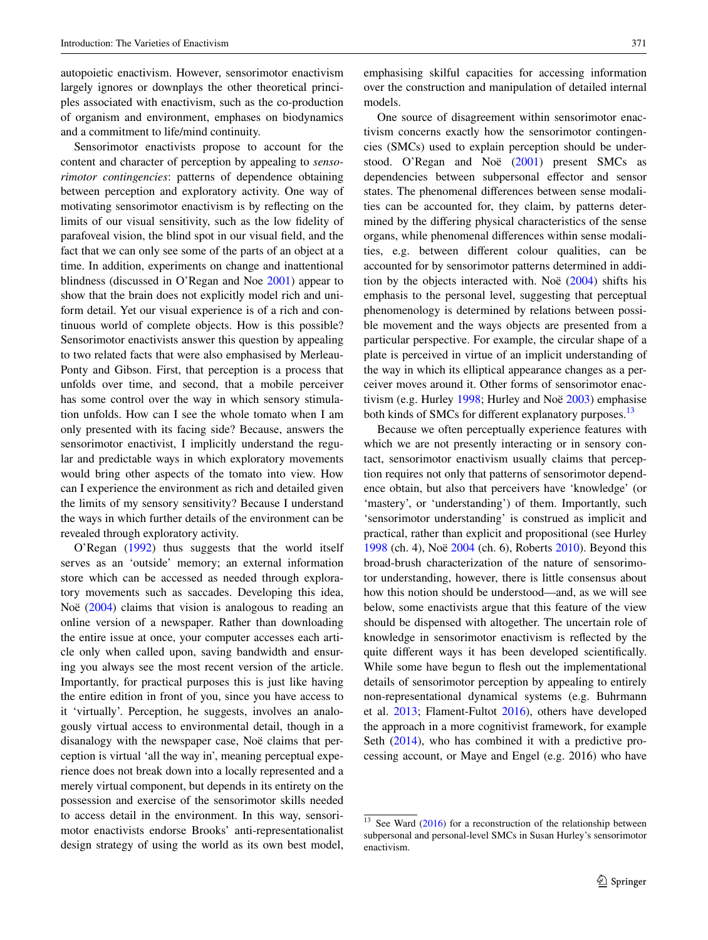autopoietic enactivism. However, sensorimotor enactivism largely ignores or downplays the other theoretical principles associated with enactivism, such as the co-production of organism and environment, emphases on biodynamics and a commitment to life/mind continuity.

Sensorimotor enactivists propose to account for the content and character of perception by appealing to *sensorimotor contingencies*: patterns of dependence obtaining between perception and exploratory activity. One way of motivating sensorimotor enactivism is by reflecting on the limits of our visual sensitivity, such as the low fidelity of parafoveal vision, the blind spot in our visual field, and the fact that we can only see some of the parts of an object at a time. In addition, experiments on change and inattentional blindness (discussed in O'Regan and Noe [2001\)](#page-10-23) appear to show that the brain does not explicitly model rich and uniform detail. Yet our visual experience is of a rich and continuous world of complete objects. How is this possible? Sensorimotor enactivists answer this question by appealing to two related facts that were also emphasised by Merleau-Ponty and Gibson. First, that perception is a process that unfolds over time, and second, that a mobile perceiver has some control over the way in which sensory stimulation unfolds. How can I see the whole tomato when I am only presented with its facing side? Because, answers the sensorimotor enactivist, I implicitly understand the regular and predictable ways in which exploratory movements would bring other aspects of the tomato into view. How can I experience the environment as rich and detailed given the limits of my sensory sensitivity? Because I understand the ways in which further details of the environment can be revealed through exploratory activity.

O'Regan ([1992\)](#page-10-27) thus suggests that the world itself serves as an 'outside' memory; an external information store which can be accessed as needed through exploratory movements such as saccades. Developing this idea, Noë ([2004\)](#page-10-24) claims that vision is analogous to reading an online version of a newspaper. Rather than downloading the entire issue at once, your computer accesses each article only when called upon, saving bandwidth and ensuring you always see the most recent version of the article. Importantly, for practical purposes this is just like having the entire edition in front of you, since you have access to it 'virtually'. Perception, he suggests, involves an analogously virtual access to environmental detail, though in a disanalogy with the newspaper case, Noë claims that perception is virtual 'all the way in', meaning perceptual experience does not break down into a locally represented and a merely virtual component, but depends in its entirety on the possession and exercise of the sensorimotor skills needed to access detail in the environment. In this way, sensorimotor enactivists endorse Brooks' anti-representationalist design strategy of using the world as its own best model, emphasising skilful capacities for accessing information over the construction and manipulation of detailed internal models.

One source of disagreement within sensorimotor enactivism concerns exactly how the sensorimotor contingencies (SMCs) used to explain perception should be understood. O'Regan and Noë ([2001\)](#page-10-23) present SMCs as dependencies between subpersonal effector and sensor states. The phenomenal differences between sense modalities can be accounted for, they claim, by patterns determined by the differing physical characteristics of the sense organs, while phenomenal differences within sense modalities, e.g. between different colour qualities, can be accounted for by sensorimotor patterns determined in addition by the objects interacted with. Noë ([2004\)](#page-10-24) shifts his emphasis to the personal level, suggesting that perceptual phenomenology is determined by relations between possible movement and the ways objects are presented from a particular perspective. For example, the circular shape of a plate is perceived in virtue of an implicit understanding of the way in which its elliptical appearance changes as a perceiver moves around it. Other forms of sensorimotor enactivism (e.g. Hurley [1998;](#page-10-22) Hurley and Noë [2003\)](#page-10-28) emphasise both kinds of SMCs for different explanatory purposes.<sup>13</sup>

Because we often perceptually experience features with which we are not presently interacting or in sensory contact, sensorimotor enactivism usually claims that perception requires not only that patterns of sensorimotor dependence obtain, but also that perceivers have 'knowledge' (or 'mastery', or 'understanding') of them. Importantly, such 'sensorimotor understanding' is construed as implicit and practical, rather than explicit and propositional (see Hurley [1998](#page-10-22) (ch. 4), Noë [2004](#page-10-24) (ch. 6), Roberts [2010\)](#page-10-29). Beyond this broad-brush characterization of the nature of sensorimotor understanding, however, there is little consensus about how this notion should be understood—and, as we will see below, some enactivists argue that this feature of the view should be dispensed with altogether. The uncertain role of knowledge in sensorimotor enactivism is reflected by the quite different ways it has been developed scientifically. While some have begun to flesh out the implementational details of sensorimotor perception by appealing to entirely non-representational dynamical systems (e.g. Buhrmann et al. [2013](#page-9-8); Flament-Fultot [2016](#page-10-30)), others have developed the approach in a more cognitivist framework, for example Seth [\(2014](#page-10-31)), who has combined it with a predictive processing account, or Maye and Engel (e.g. 2016) who have

<span id="page-6-0"></span> $13$  See Ward ([2016\)](#page-10-32) for a reconstruction of the relationship between subpersonal and personal-level SMCs in Susan Hurley's sensorimotor enactivism.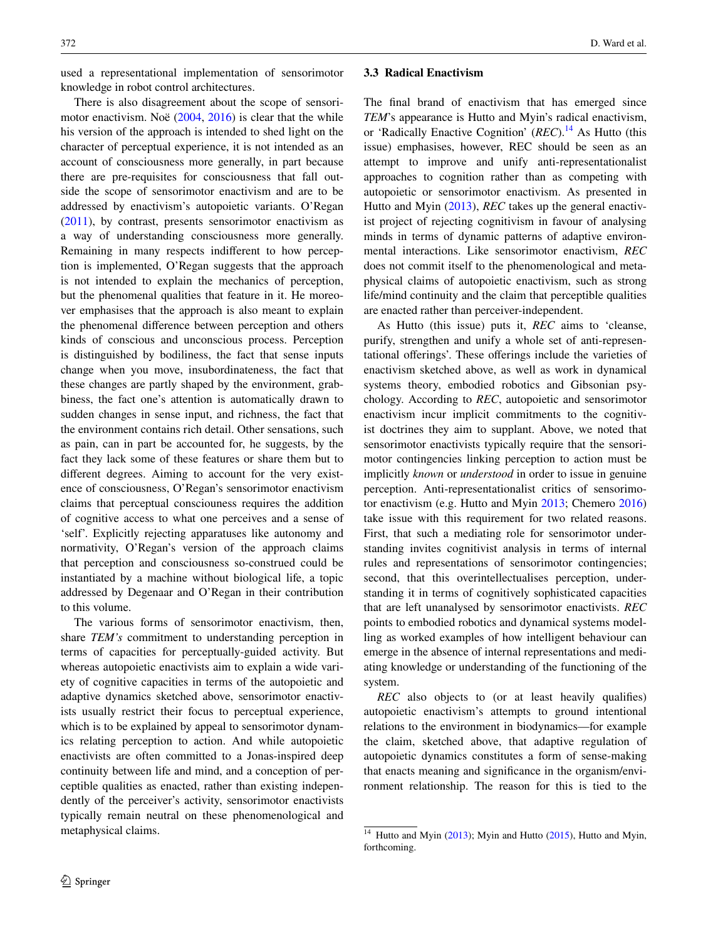used a representational implementation of sensorimotor knowledge in robot control architectures.

There is also disagreement about the scope of sensorimotor enactivism. Noë ([2004,](#page-10-24) [2016](#page-10-33)) is clear that the while his version of the approach is intended to shed light on the character of perceptual experience, it is not intended as an account of consciousness more generally, in part because there are pre-requisites for consciousness that fall outside the scope of sensorimotor enactivism and are to be addressed by enactivism's autopoietic variants. O'Regan [\(2011](#page-10-26)), by contrast, presents sensorimotor enactivism as a way of understanding consciousness more generally. Remaining in many respects indifferent to how perception is implemented, O'Regan suggests that the approach is not intended to explain the mechanics of perception, but the phenomenal qualities that feature in it. He moreover emphasises that the approach is also meant to explain the phenomenal difference between perception and others kinds of conscious and unconscious process. Perception is distinguished by bodiliness, the fact that sense inputs change when you move, insubordinateness, the fact that these changes are partly shaped by the environment, grabbiness, the fact one's attention is automatically drawn to sudden changes in sense input, and richness, the fact that the environment contains rich detail. Other sensations, such as pain, can in part be accounted for, he suggests, by the fact they lack some of these features or share them but to different degrees. Aiming to account for the very existence of consciousness, O'Regan's sensorimotor enactivism claims that perceptual consciouness requires the addition of cognitive access to what one perceives and a sense of 'self'. Explicitly rejecting apparatuses like autonomy and normativity, O'Regan's version of the approach claims that perception and consciousness so-construed could be instantiated by a machine without biological life, a topic addressed by Degenaar and O'Regan in their contribution to this volume.

The various forms of sensorimotor enactivism, then, share *TEM's* commitment to understanding perception in terms of capacities for perceptually-guided activity. But whereas autopoietic enactivists aim to explain a wide variety of cognitive capacities in terms of the autopoietic and adaptive dynamics sketched above, sensorimotor enactivists usually restrict their focus to perceptual experience, which is to be explained by appeal to sensorimotor dynamics relating perception to action. And while autopoietic enactivists are often committed to a Jonas-inspired deep continuity between life and mind, and a conception of perceptible qualities as enacted, rather than existing independently of the perceiver's activity, sensorimotor enactivists typically remain neutral on these phenomenological and metaphysical claims.

### **3.3 Radical Enactivism**

The final brand of enactivism that has emerged since *TEM*'s appearance is Hutto and Myin's radical enactivism, or 'Radically Enactive Cognition' (*REC*).[14](#page-7-0) As Hutto (this issue) emphasises, however, REC should be seen as an attempt to improve and unify anti-representationalist approaches to cognition rather than as competing with autopoietic or sensorimotor enactivism. As presented in Hutto and Myin [\(2013](#page-10-34)), *REC* takes up the general enactivist project of rejecting cognitivism in favour of analysing minds in terms of dynamic patterns of adaptive environmental interactions. Like sensorimotor enactivism, *REC* does not commit itself to the phenomenological and metaphysical claims of autopoietic enactivism, such as strong life/mind continuity and the claim that perceptible qualities are enacted rather than perceiver-independent.

As Hutto (this issue) puts it, *REC* aims to 'cleanse, purify, strengthen and unify a whole set of anti-representational offerings'. These offerings include the varieties of enactivism sketched above, as well as work in dynamical systems theory, embodied robotics and Gibsonian psychology. According to *REC*, autopoietic and sensorimotor enactivism incur implicit commitments to the cognitivist doctrines they aim to supplant. Above, we noted that sensorimotor enactivists typically require that the sensorimotor contingencies linking perception to action must be implicitly *known* or *understood* in order to issue in genuine perception. Anti-representationalist critics of sensorimotor enactivism (e.g. Hutto and Myin [2013](#page-10-34); Chemero [2016\)](#page-9-9) take issue with this requirement for two related reasons. First, that such a mediating role for sensorimotor understanding invites cognitivist analysis in terms of internal rules and representations of sensorimotor contingencies; second, that this overintellectualises perception, understanding it in terms of cognitively sophisticated capacities that are left unanalysed by sensorimotor enactivists. *REC* points to embodied robotics and dynamical systems modelling as worked examples of how intelligent behaviour can emerge in the absence of internal representations and mediating knowledge or understanding of the functioning of the system.

*REC* also objects to (or at least heavily qualifies) autopoietic enactivism's attempts to ground intentional relations to the environment in biodynamics—for example the claim, sketched above, that adaptive regulation of autopoietic dynamics constitutes a form of sense-making that enacts meaning and significance in the organism/environment relationship. The reason for this is tied to the

<span id="page-7-0"></span><sup>&</sup>lt;sup>14</sup> Hutto and Myin ([2013\)](#page-10-34); Myin and Hutto [\(2015](#page-10-35)), Hutto and Myin, forthcoming.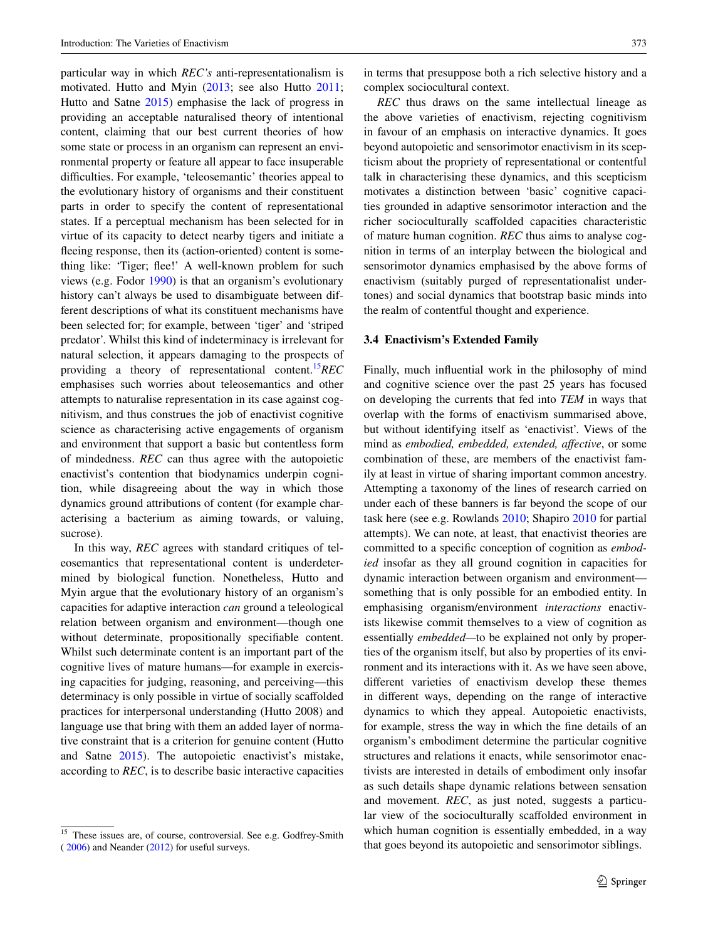particular way in which *REC's* anti-representationalism is motivated. Hutto and Myin ([2013;](#page-10-34) see also Hutto [2011](#page-10-36); Hutto and Satne [2015](#page-10-37)) emphasise the lack of progress in providing an acceptable naturalised theory of intentional content, claiming that our best current theories of how some state or process in an organism can represent an environmental property or feature all appear to face insuperable difficulties. For example, 'teleosemantic' theories appeal to the evolutionary history of organisms and their constituent parts in order to specify the content of representational states. If a perceptual mechanism has been selected for in virtue of its capacity to detect nearby tigers and initiate a fleeing response, then its (action-oriented) content is something like: 'Tiger; flee!' A well-known problem for such views (e.g. Fodor [1990\)](#page-10-38) is that an organism's evolutionary history can't always be used to disambiguate between different descriptions of what its constituent mechanisms have been selected for; for example, between 'tiger' and 'striped predator'. Whilst this kind of indeterminacy is irrelevant for natural selection, it appears damaging to the prospects of providing a theory of representational content[.15](#page-8-0)*REC* emphasises such worries about teleosemantics and other attempts to naturalise representation in its case against cognitivism, and thus construes the job of enactivist cognitive science as characterising active engagements of organism and environment that support a basic but contentless form of mindedness. *REC* can thus agree with the autopoietic enactivist's contention that biodynamics underpin cognition, while disagreeing about the way in which those dynamics ground attributions of content (for example characterising a bacterium as aiming towards, or valuing, sucrose).

In this way, *REC* agrees with standard critiques of teleosemantics that representational content is underdetermined by biological function. Nonetheless, Hutto and Myin argue that the evolutionary history of an organism's capacities for adaptive interaction *can* ground a teleological relation between organism and environment—though one without determinate, propositionally specifiable content. Whilst such determinate content is an important part of the cognitive lives of mature humans—for example in exercising capacities for judging, reasoning, and perceiving—this determinacy is only possible in virtue of socially scaffolded practices for interpersonal understanding (Hutto 2008) and language use that bring with them an added layer of normative constraint that is a criterion for genuine content (Hutto and Satne [2015](#page-10-37)). The autopoietic enactivist's mistake, according to *REC*, is to describe basic interactive capacities in terms that presuppose both a rich selective history and a complex sociocultural context.

*REC* thus draws on the same intellectual lineage as the above varieties of enactivism, rejecting cognitivism in favour of an emphasis on interactive dynamics. It goes beyond autopoietic and sensorimotor enactivism in its scepticism about the propriety of representational or contentful talk in characterising these dynamics, and this scepticism motivates a distinction between 'basic' cognitive capacities grounded in adaptive sensorimotor interaction and the richer socioculturally scaffolded capacities characteristic of mature human cognition. *REC* thus aims to analyse cognition in terms of an interplay between the biological and sensorimotor dynamics emphasised by the above forms of enactivism (suitably purged of representationalist undertones) and social dynamics that bootstrap basic minds into the realm of contentful thought and experience.

#### **3.4 Enactivism's Extended Family**

Finally, much influential work in the philosophy of mind and cognitive science over the past 25 years has focused on developing the currents that fed into *TEM* in ways that overlap with the forms of enactivism summarised above, but without identifying itself as 'enactivist'. Views of the mind as *embodied, embedded, extended, affective*, or some combination of these, are members of the enactivist family at least in virtue of sharing important common ancestry. Attempting a taxonomy of the lines of research carried on under each of these banners is far beyond the scope of our task here (see e.g. Rowlands [2010;](#page-10-41) Shapiro [2010](#page-10-42) for partial attempts). We can note, at least, that enactivist theories are committed to a specific conception of cognition as *embodied* insofar as they all ground cognition in capacities for dynamic interaction between organism and environment something that is only possible for an embodied entity. In emphasising organism/environment *interactions* enactivists likewise commit themselves to a view of cognition as essentially *embedded—*to be explained not only by properties of the organism itself, but also by properties of its environment and its interactions with it. As we have seen above, different varieties of enactivism develop these themes in different ways, depending on the range of interactive dynamics to which they appeal. Autopoietic enactivists, for example, stress the way in which the fine details of an organism's embodiment determine the particular cognitive structures and relations it enacts, while sensorimotor enactivists are interested in details of embodiment only insofar as such details shape dynamic relations between sensation and movement. *REC*, as just noted, suggests a particular view of the socioculturally scaffolded environment in which human cognition is essentially embedded, in a way that goes beyond its autopoietic and sensorimotor siblings.

<span id="page-8-0"></span><sup>&</sup>lt;sup>15</sup> These issues are, of course, controversial. See e.g. Godfrey-Smith ( [2006\)](#page-10-39) and Neander ([2012\)](#page-10-40) for useful surveys.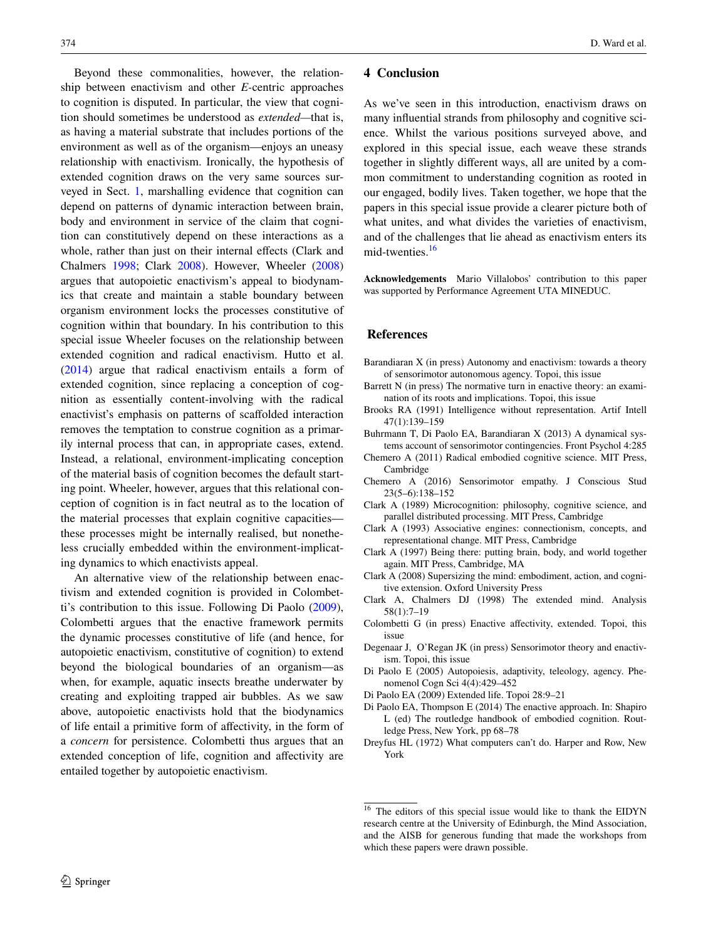Beyond these commonalities, however, the relationship between enactivism and other *E-*centric approaches to cognition is disputed. In particular, the view that cognition should sometimes be understood as *extended—*that is, as having a material substrate that includes portions of the environment as well as of the organism—enjoys an uneasy relationship with enactivism. Ironically, the hypothesis of extended cognition draws on the very same sources surveyed in Sect. [1](#page-0-1), marshalling evidence that cognition can depend on patterns of dynamic interaction between brain, body and environment in service of the claim that cognition can constitutively depend on these interactions as a whole, rather than just on their internal effects (Clark and Chalmers [1998](#page-9-10); Clark [2008](#page-9-11)). However, Wheeler ([2008\)](#page-10-43) argues that autopoietic enactivism's appeal to biodynamics that create and maintain a stable boundary between organism environment locks the processes constitutive of cognition within that boundary. In his contribution to this special issue Wheeler focuses on the relationship between extended cognition and radical enactivism. Hutto et al. [\(2014](#page-10-44)) argue that radical enactivism entails a form of extended cognition, since replacing a conception of cognition as essentially content-involving with the radical enactivist's emphasis on patterns of scaffolded interaction removes the temptation to construe cognition as a primarily internal process that can, in appropriate cases, extend. Instead, a relational, environment-implicating conception of the material basis of cognition becomes the default starting point. Wheeler, however, argues that this relational conception of cognition is in fact neutral as to the location of the material processes that explain cognitive capacities these processes might be internally realised, but nonetheless crucially embedded within the environment-implicating dynamics to which enactivists appeal.

An alternative view of the relationship between enactivism and extended cognition is provided in Colombetti's contribution to this issue. Following Di Paolo [\(2009](#page-9-12)), Colombetti argues that the enactive framework permits the dynamic processes constitutive of life (and hence, for autopoietic enactivism, constitutive of cognition) to extend beyond the biological boundaries of an organism—as when, for example, aquatic insects breathe underwater by creating and exploiting trapped air bubbles. As we saw above, autopoietic enactivists hold that the biodynamics of life entail a primitive form of affectivity, in the form of a *concern* for persistence. Colombetti thus argues that an extended conception of life, cognition and affectivity are entailed together by autopoietic enactivism.

#### **4 Conclusion**

As we've seen in this introduction, enactivism draws on many influential strands from philosophy and cognitive science. Whilst the various positions surveyed above, and explored in this special issue, each weave these strands together in slightly different ways, all are united by a common commitment to understanding cognition as rooted in our engaged, bodily lives. Taken together, we hope that the papers in this special issue provide a clearer picture both of what unites, and what divides the varieties of enactivism. and of the challenges that lie ahead as enactivism enters its mid-twenties.<sup>[16](#page-9-13)</sup>

**Acknowledgements** Mario Villalobos' contribution to this paper was supported by Performance Agreement UTA MINEDUC.

#### **References**

- Barandiaran X (in press) Autonomy and enactivism: towards a theory of sensorimotor autonomous agency. Topoi, this issue
- Barrett N (in press) The normative turn in enactive theory: an examination of its roots and implications. Topoi, this issue
- <span id="page-9-4"></span>Brooks RA (1991) Intelligence without representation. Artif Intell 47(1):139–159
- <span id="page-9-8"></span>Buhrmann T, Di Paolo EA, Barandiaran X (2013) A dynamical systems account of sensorimotor contingencies. Front Psychol 4:285
- <span id="page-9-3"></span>Chemero A (2011) Radical embodied cognitive science. MIT Press, Cambridge
- <span id="page-9-9"></span>Chemero A (2016) Sensorimotor empathy. J Conscious Stud 23(5–6):138–152
- <span id="page-9-0"></span>Clark A (1989) Microcognition: philosophy, cognitive science, and parallel distributed processing. MIT Press, Cambridge
- <span id="page-9-1"></span>Clark A (1993) Associative engines: connectionism, concepts, and representational change. MIT Press, Cambridge
- <span id="page-9-2"></span>Clark A (1997) Being there: putting brain, body, and world together again. MIT Press, Cambridge, MA
- <span id="page-9-11"></span>Clark A (2008) Supersizing the mind: embodiment, action, and cognitive extension. Oxford University Press
- <span id="page-9-10"></span>Clark A, Chalmers DJ (1998) The extended mind. Analysis 58(1):7–19
- Colombetti G (in press) Enactive affectivity, extended. Topoi, this issue
- Degenaar J, O'Regan JK (in press) Sensorimotor theory and enactivism. Topoi, this issue
- <span id="page-9-6"></span>Di Paolo E (2005) Autopoiesis, adaptivity, teleology, agency. Phenomenol Cogn Sci 4(4):429–452
- <span id="page-9-12"></span>Di Paolo EA (2009) Extended life. Topoi 28:9–21
- <span id="page-9-7"></span>Di Paolo EA, Thompson E (2014) The enactive approach. In: Shapiro L (ed) The routledge handbook of embodied cognition. Routledge Press, New York, pp 68–78
- <span id="page-9-5"></span>Dreyfus HL (1972) What computers can't do. Harper and Row, New York

<span id="page-9-13"></span><sup>16</sup> The editors of this special issue would like to thank the EIDYN research centre at the University of Edinburgh, the Mind Association, and the AISB for generous funding that made the workshops from which these papers were drawn possible.